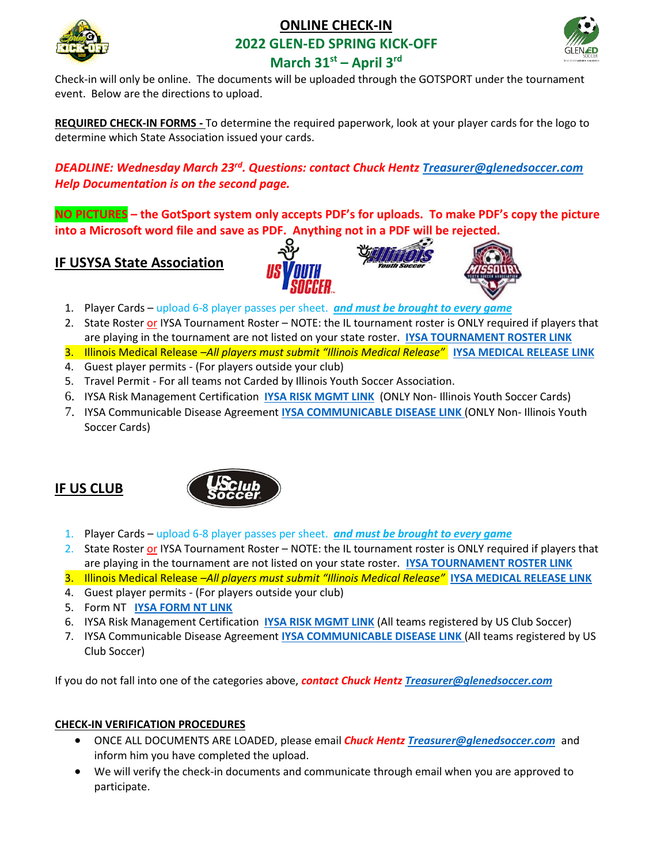

# **ONLINE CHECK-IN 2022 GLEN-ED SPRING KICK-OFF**



# **March 31st – April 3rd**

Check-in will only be online. The documents will be uploaded through the GOTSPORT under the tournament event. Below are the directions to upload.

**REQUIRED CHECK-IN FORMS -** To determine the required paperwork, look at your player cards for the logo to determine which State Association issued your cards.

*DEADLINE: Wednesday March 23rd . Questions: contact Chuck Hentz [Treasurer@glenedsoccer.com](mailto:Treasurer@glenedsoccer.com) Help Documentation is on the second page.*

**NO PICTURES – the GotSport system only accepts PDF's for uploads. To make PDF's copy the picture into a Microsoft word file and save as PDF. Anything not in a PDF will be rejected.** 

**IF USYSA State Association**





- 1. Player Cards upload 6-8 player passes per sheet. *and must be brought to every game*
- 2. State Roster or IYSA Tournament Roster NOTE: the IL tournament roster is ONLY required if players that are playing in the tournament are not listed on your state roster. **[IYSA TOURNAMENT ROSTER LINK](https://glenedsoccer.com/wp-content/uploads/2015/01/IYSA_Tournament_Roster_Fillable_kickoff.pdf)**
- 3. Illinois Medical Release –*All players must submit "Illinois Medical Release"* **[IYSA MEDICAL RELEASE LINK](https://illinoisyouthsoccer.demosphere-secure.com/_files/forms/iysa-forms-amp-policies/MEDICAL%20RELEASE%202-11-20%20(00000003).pdf)**
- 4. Guest player permits (For players outside your club)
- 5. Travel Permit For all teams not Carded by Illinois Youth Soccer Association.
- 6. IYSA Risk Management Certification **[IYSA RISK MGMT LINK](https://illinoisyouthsoccer.demosphere-secure.com/_files/sanctioned-tournaments/TOUR%20RISK%20MANAGEMENT%20CERTIFICATION_2.pdf)** (ONLY Non- Illinois Youth Soccer Cards)
- 7. IYSA Communicable Disease Agreement **[IYSA COMMUNICABLE DISEASE LINK](https://illinoisyouthsoccer.demosphere-secure.com/_files/forms/covid-19-resources/COVID-19%20CLUB%20AGREEMENT%2010820%20FILLABLE.pdf)** (ONLY Non- Illinois Youth Soccer Cards)

# **IF US CLUB**



- 1. Player Cards upload 6-8 player passes per sheet. *and must be brought to every game*
- 2. State Roster or IYSA Tournament Roster NOTE: the IL tournament roster is ONLY required if players that are playing in the tournament are not listed on your state roster. **[IYSA TOURNAMENT ROSTER LINK](https://glenedsoccer.com/wp-content/uploads/2015/01/IYSA_Tournament_Roster_Fillable_kickoff.pdf)**
- 3. Illinois Medical Release –*All players must submit "Illinois Medical Release"* **[IYSA MEDICAL RELEASE LINK](http://glenedsoccer.com/wp-content/uploads/2018/11/IYSA-Medical-Release-Form.pdf)**
- 4. Guest player permits (For players outside your club)
- 5. Form NT **[IYSA FORM NT LINK](https://glenedsoccer.com/wp-content/uploads/2020/01/Form-NT-2020.pdf)**
- 6. IYSA Risk Management Certification **[IYSA RISK MGMT LINK](https://illinoisyouthsoccer.demosphere-secure.com/_files/sanctioned-tournaments/TOUR%20RISK%20MANAGEMENT%20CERTIFICATION_2.pdf)** (All teams registered by US Club Soccer)
- 7. IYSA Communicable Disease Agreement **[IYSA COMMUNICABLE DISEASE LINK](https://illinoisyouthsoccer.demosphere-secure.com/_files/forms/covid-19-resources/COVID-19%20CLUB%20AGREEMENT%2010820%20FILLABLE.pdf)** (All teams registered by US Club Soccer)

If you do not fall into one of the categories above, *contact Chuck Hentz [Treasurer@glenedsoccer.com](mailto:Treasurer@glenedsoccer.com)* 

## **CHECK-IN VERIFICATION PROCEDURES**

- ONCE ALL DOCUMENTS ARE LOADED, please email *Chuck Hentz [Treasurer@glenedsoccer.com](mailto:Treasurer@glenedsoccer.com)* and inform him you have completed the upload.
- We will verify the check-in documents and communicate through email when you are approved to participate.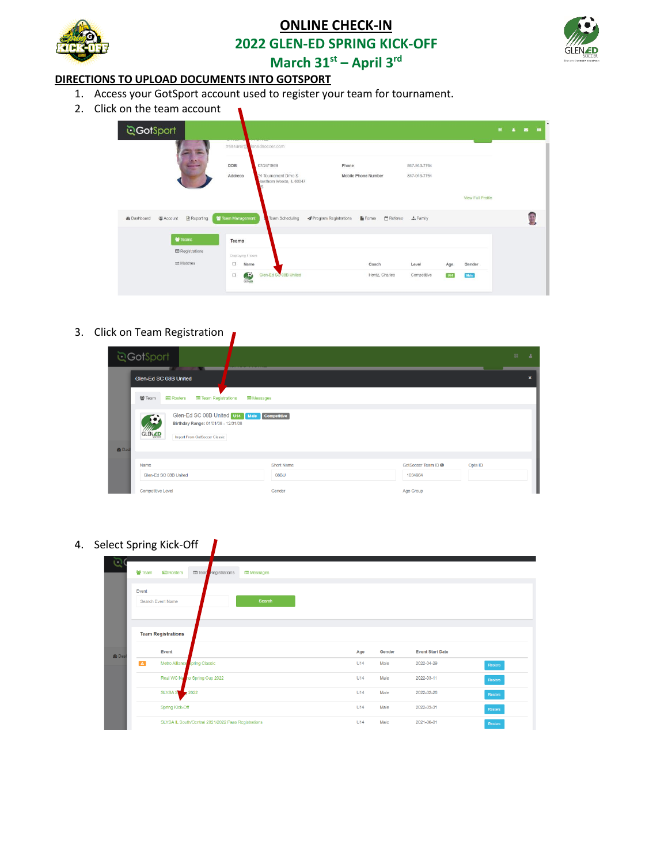

## **ONLINE CHECK-IN**

**2022 GLEN-ED SPRING KICK-OFF**



**March 31st – April 3rd**

### **DIRECTIONS TO UPLOAD DOCUMENTS INTO GOTSPORT**

1. Access your GotSport account used to register your team for tournament.

 $\blacksquare$ 

2. Click on the team account

| ্র <b>GotSport</b>                                    |                                                              |                                                        |                 |     |                          | 82 | 4.8.8 |  |
|-------------------------------------------------------|--------------------------------------------------------------|--------------------------------------------------------|-----------------|-----|--------------------------|----|-------|--|
|                                                       | treasurer@clenedsoccer.com                                   |                                                        |                 |     |                          |    |       |  |
|                                                       | DOB<br>07/24/1969                                            | Phone                                                  | 847-943-7764    |     |                          |    |       |  |
|                                                       | Address<br>24 Tournament Drive S<br>Hawthorn Woods, IL 60047 | Mobile Phone Number                                    | 847-943-7764    |     |                          |    |       |  |
|                                                       |                                                              |                                                        |                 |     | <b>View Full Profile</b> |    |       |  |
| <b>图 Reporting</b><br>@ Account<br><b>R</b> Dashboard | Team Management<br>Team Scheduling                           | ◀ Program Registrations<br>Forms <sup>en</sup> Referee | <b>A</b> Family |     |                          |    |       |  |
| Feams                                                 |                                                              |                                                        |                 |     |                          |    |       |  |
| <b>E</b> Registrations                                | Teams                                                        |                                                        |                 |     |                          |    |       |  |
| $\rightleftarrows$ Matches                            | Displaying 1 team<br>$\qquad \qquad \Box$<br>Name            | Coach                                                  | Level           | Age | Gender                   |    |       |  |
|                                                       | Glen-Ed SC 08B United<br>т.<br>$\Box$<br><b>GLENLED</b>      | Hentz, Charles                                         | Competitive     | U14 | Male                     |    |       |  |
|                                                       |                                                              |                                                        |                 |     |                          |    |       |  |

3. Click on Team Registration

|                          | <b>GotSport</b>                                                                                                                          |  |            |  |           |         | 盟 | A |  |
|--------------------------|------------------------------------------------------------------------------------------------------------------------------------------|--|------------|--|-----------|---------|---|---|--|
|                          | Glen-Ed SC 08B United                                                                                                                    |  |            |  |           |         |   | × |  |
|                          | 쌀 Team<br><b>A</b> <sub>E</sub> Rosters<br><b>El Team Registrations</b><br><b>E</b> Messages                                             |  |            |  |           |         |   |   |  |
|                          | Glen-Ed SC 08B United U14 Male Competitive<br>Q<br>Birthday Range: 01/01/08 - 12/31/08<br><b>GLENED</b><br>Import From GotSoccer Classic |  |            |  |           |         |   |   |  |
| <b><i>d</i></b> Das      |                                                                                                                                          |  |            |  |           |         |   |   |  |
|                          | Name<br>Glen-Ed SC 08B United                                                                                                            |  | Short Name |  |           | Opta ID |   |   |  |
|                          |                                                                                                                                          |  | 08BU       |  | 1034964   |         |   |   |  |
| <b>Competitive Level</b> |                                                                                                                                          |  | Gender     |  | Age Group |         |   |   |  |

4. Select Spring Kick-Off

|               | 쓥 Team           | <b>ASS</b> Rosters        | Tear Registrations                                  | $\equiv$ Messages |     |        |                         |                |
|---------------|------------------|---------------------------|-----------------------------------------------------|-------------------|-----|--------|-------------------------|----------------|
| <b>R</b> Dasi | Event            | Search Event Name         |                                                     | Search            |     |        |                         |                |
|               |                  | <b>Team Registrations</b> |                                                     |                   |     |        |                         |                |
|               |                  | Event                     |                                                     |                   | Age | Gender | <b>Event Start Date</b> |                |
|               | $\blacktriangle$ |                           | Metro Alliance spring Classic                       |                   | U14 | Male   | 2022-04-29              | Rosters        |
|               |                  |                           | Real WC Namo Spring Cup 2022                        |                   | U14 | Male   | 2022-03-11              | <b>Rosters</b> |
|               |                  | <b>SLYSA S</b>            | 2022                                                |                   | U14 | Male   | 2022-02-26              | <b>Rosters</b> |
|               |                  | Spring Kick-Off           |                                                     |                   | U14 | Male   | 2022-03-31              | <b>Rosters</b> |
|               |                  |                           | SLYSA IL South/Central 2021/2022 Pass Registrations |                   | U14 | Male   | 2021-06-01              | <b>Rosters</b> |